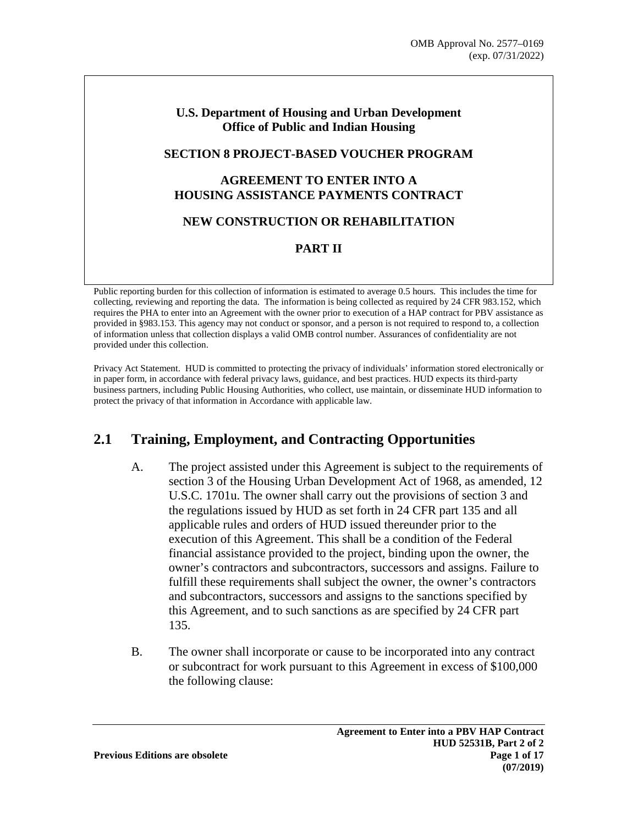#### **U.S. Department of Housing and Urban Development Office of Public and Indian Housing**

#### **SECTION 8 PROJECT-BASED VOUCHER PROGRAM**

#### **AGREEMENT TO ENTER INTO A HOUSING ASSISTANCE PAYMENTS CONTRACT**

#### **NEW CONSTRUCTION OR REHABILITATION**

#### **PART II**

Public reporting burden for this collection of information is estimated to average 0.5 hours. This includes the time for collecting, reviewing and reporting the data. The information is being collected as required by 24 CFR 983.152, which requires the PHA to enter into an Agreement with the owner prior to execution of a HAP contract for PBV assistance as provided in §983.153. This agency may not conduct or sponsor, and a person is not required to respond to, a collection of information unless that collection displays a valid OMB control number. Assurances of confidentiality are not provided under this collection.

Privacy Act Statement. HUD is committed to protecting the privacy of individuals' information stored electronically or in paper form, in accordance with federal privacy laws, guidance, and best practices. HUD expects its third-party business partners, including Public Housing Authorities, who collect, use maintain, or disseminate HUD information to protect the privacy of that information in Accordance with applicable law.

#### **2.1 Training, Employment, and Contracting Opportunities**

- A. The project assisted under this Agreement is subject to the requirements of section 3 of the Housing Urban Development Act of 1968, as amended, 12 U.S.C. 1701u. The owner shall carry out the provisions of section 3 and the regulations issued by HUD as set forth in 24 CFR part 135 and all applicable rules and orders of HUD issued thereunder prior to the execution of this Agreement. This shall be a condition of the Federal financial assistance provided to the project, binding upon the owner, the owner's contractors and subcontractors, successors and assigns. Failure to fulfill these requirements shall subject the owner, the owner's contractors and subcontractors, successors and assigns to the sanctions specified by this Agreement, and to such sanctions as are specified by 24 CFR part 135.
- B. The owner shall incorporate or cause to be incorporated into any contract or subcontract for work pursuant to this Agreement in excess of \$100,000 the following clause: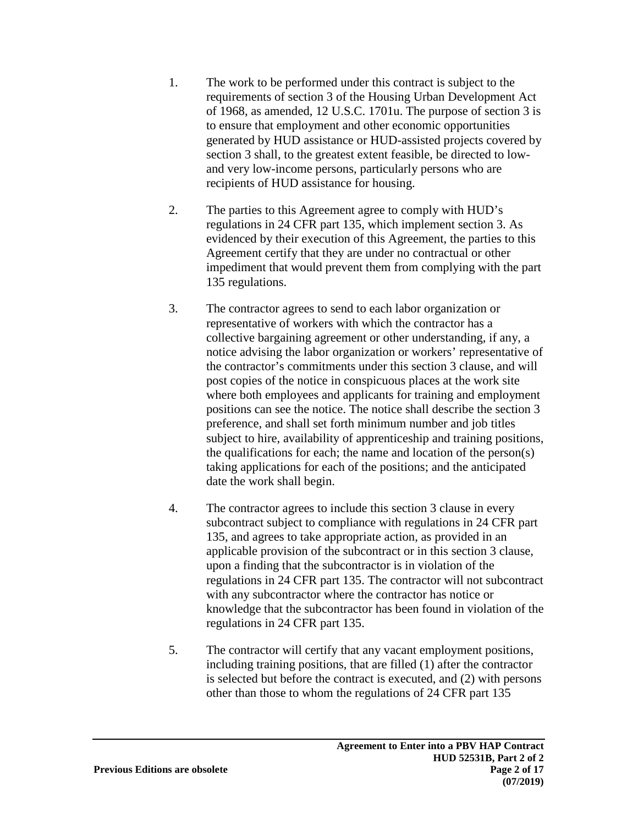- 1. The work to be performed under this contract is subject to the requirements of section 3 of the Housing Urban Development Act of 1968, as amended, 12 U.S.C. 1701u. The purpose of section 3 is to ensure that employment and other economic opportunities generated by HUD assistance or HUD-assisted projects covered by section 3 shall, to the greatest extent feasible, be directed to lowand very low-income persons, particularly persons who are recipients of HUD assistance for housing.
- 2. The parties to this Agreement agree to comply with HUD's regulations in 24 CFR part 135, which implement section 3. As evidenced by their execution of this Agreement, the parties to this Agreement certify that they are under no contractual or other impediment that would prevent them from complying with the part 135 regulations.
- 3. The contractor agrees to send to each labor organization or representative of workers with which the contractor has a collective bargaining agreement or other understanding, if any, a notice advising the labor organization or workers' representative of the contractor's commitments under this section 3 clause, and will post copies of the notice in conspicuous places at the work site where both employees and applicants for training and employment positions can see the notice. The notice shall describe the section 3 preference, and shall set forth minimum number and job titles subject to hire, availability of apprenticeship and training positions, the qualifications for each; the name and location of the person(s) taking applications for each of the positions; and the anticipated date the work shall begin.
- 4. The contractor agrees to include this section 3 clause in every subcontract subject to compliance with regulations in 24 CFR part 135, and agrees to take appropriate action, as provided in an applicable provision of the subcontract or in this section 3 clause, upon a finding that the subcontractor is in violation of the regulations in 24 CFR part 135. The contractor will not subcontract with any subcontractor where the contractor has notice or knowledge that the subcontractor has been found in violation of the regulations in 24 CFR part 135.
- 5. The contractor will certify that any vacant employment positions, including training positions, that are filled (1) after the contractor is selected but before the contract is executed, and (2) with persons other than those to whom the regulations of 24 CFR part 135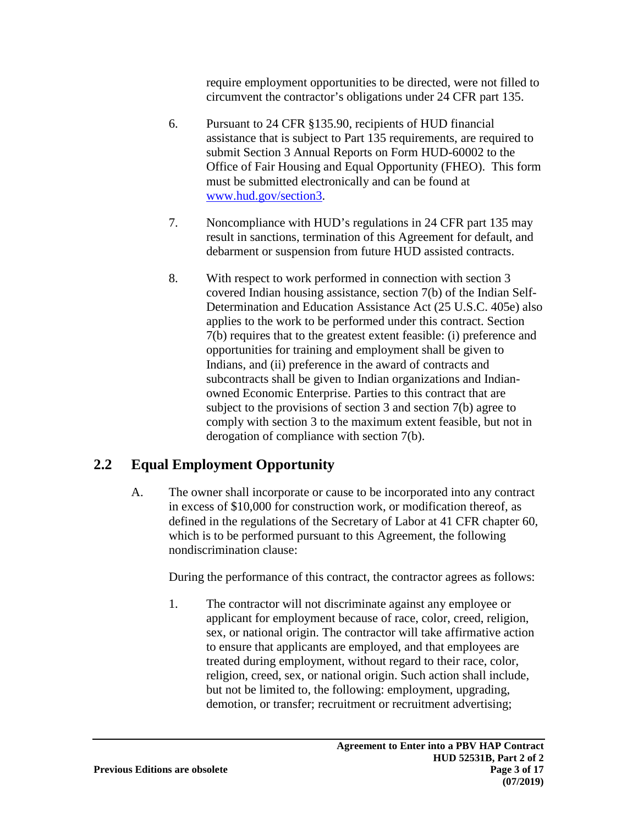require employment opportunities to be directed, were not filled to circumvent the contractor's obligations under 24 CFR part 135.

- 6. Pursuant to 24 CFR §135.90, recipients of HUD financial assistance that is subject to Part 135 requirements, are required to submit Section 3 Annual Reports on Form HUD-60002 to the Office of Fair Housing and Equal Opportunity (FHEO). This form must be submitted electronically and can be found at [www.hud.gov/section3](http://www.hud.gov/section3).
- 7. Noncompliance with HUD's regulations in 24 CFR part 135 may result in sanctions, termination of this Agreement for default, and debarment or suspension from future HUD assisted contracts.
- 8. With respect to work performed in connection with section 3 covered Indian housing assistance, section 7(b) of the Indian Self-Determination and Education Assistance Act (25 U.S.C. 405e) also applies to the work to be performed under this contract. Section 7(b) requires that to the greatest extent feasible: (i) preference and opportunities for training and employment shall be given to Indians, and (ii) preference in the award of contracts and subcontracts shall be given to Indian organizations and Indianowned Economic Enterprise. Parties to this contract that are subject to the provisions of section 3 and section 7(b) agree to comply with section 3 to the maximum extent feasible, but not in derogation of compliance with section 7(b).

# **2.2 Equal Employment Opportunity**

A. The owner shall incorporate or cause to be incorporated into any contract in excess of \$10,000 for construction work, or modification thereof, as defined in the regulations of the Secretary of Labor at 41 CFR chapter 60, which is to be performed pursuant to this Agreement, the following nondiscrimination clause:

During the performance of this contract, the contractor agrees as follows:

1. The contractor will not discriminate against any employee or applicant for employment because of race, color, creed, religion, sex, or national origin. The contractor will take affirmative action to ensure that applicants are employed, and that employees are treated during employment, without regard to their race, color, religion, creed, sex, or national origin. Such action shall include, but not be limited to, the following: employment, upgrading, demotion, or transfer; recruitment or recruitment advertising;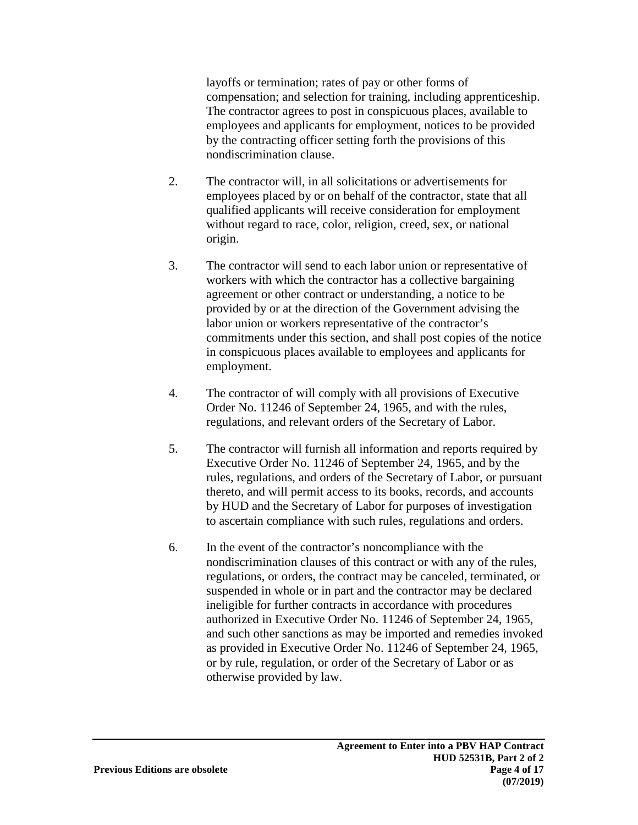layoffs or termination; rates of pay or other forms of compensation; and selection for training, including apprenticeship. The contractor agrees to post in conspicuous places, available to employees and applicants for employment, notices to be provided by the contracting officer setting forth the provisions of this nondiscrimination clause.

- 2. The contractor will, in all solicitations or advertisements for employees placed by or on behalf of the contractor, state that all qualified applicants will receive consideration for employment without regard to race, color, religion, creed, sex, or national origin.
- 3. The contractor will send to each labor union or representative of workers with which the contractor has a collective bargaining agreement or other contract or understanding, a notice to be provided by or at the direction of the Government advising the labor union or workers representative of the contractor's commitments under this section, and shall post copies of the notice in conspicuous places available to employees and applicants for employment.
- 4. The contractor of will comply with all provisions of Executive Order No. 11246 of September 24, 1965, and with the rules, regulations, and relevant orders of the Secretary of Labor.
- 5. The contractor will furnish all information and reports required by Executive Order No. 11246 of September 24, 1965, and by the rules, regulations, and orders of the Secretary of Labor, or pursuant thereto, and will permit access to its books, records, and accounts by HUD and the Secretary of Labor for purposes of investigation to ascertain compliance with such rules, regulations and orders.
- 6. In the event of the contractor's noncompliance with the nondiscrimination clauses of this contract or with any of the rules, regulations, or orders, the contract may be canceled, terminated, or suspended in whole or in part and the contractor may be declared ineligible for further contracts in accordance with procedures authorized in Executive Order No. 11246 of September 24, 1965, and such other sanctions as may be imported and remedies invoked as provided in Executive Order No. 11246 of September 24, 1965, or by rule, regulation, or order of the Secretary of Labor or as otherwise provided by law.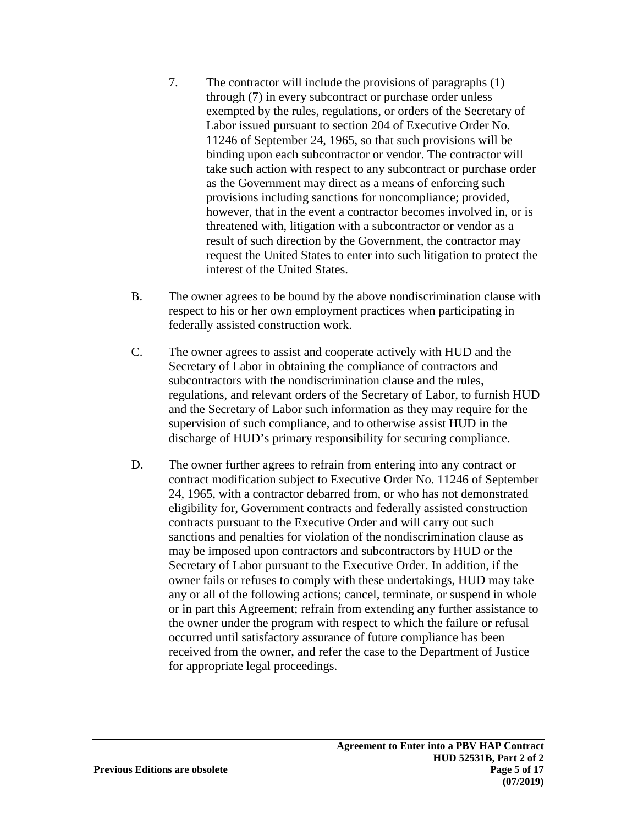- 7. The contractor will include the provisions of paragraphs (1) through (7) in every subcontract or purchase order unless exempted by the rules, regulations, or orders of the Secretary of Labor issued pursuant to section 204 of Executive Order No. 11246 of September 24, 1965, so that such provisions will be binding upon each subcontractor or vendor. The contractor will take such action with respect to any subcontract or purchase order as the Government may direct as a means of enforcing such provisions including sanctions for noncompliance; provided, however, that in the event a contractor becomes involved in, or is threatened with, litigation with a subcontractor or vendor as a result of such direction by the Government, the contractor may request the United States to enter into such litigation to protect the interest of the United States.
- B. The owner agrees to be bound by the above nondiscrimination clause with respect to his or her own employment practices when participating in federally assisted construction work.
- C. The owner agrees to assist and cooperate actively with HUD and the Secretary of Labor in obtaining the compliance of contractors and subcontractors with the nondiscrimination clause and the rules, regulations, and relevant orders of the Secretary of Labor, to furnish HUD and the Secretary of Labor such information as they may require for the supervision of such compliance, and to otherwise assist HUD in the discharge of HUD's primary responsibility for securing compliance.
- D. The owner further agrees to refrain from entering into any contract or contract modification subject to Executive Order No. 11246 of September 24, 1965, with a contractor debarred from, or who has not demonstrated eligibility for, Government contracts and federally assisted construction contracts pursuant to the Executive Order and will carry out such sanctions and penalties for violation of the nondiscrimination clause as may be imposed upon contractors and subcontractors by HUD or the Secretary of Labor pursuant to the Executive Order. In addition, if the owner fails or refuses to comply with these undertakings, HUD may take any or all of the following actions; cancel, terminate, or suspend in whole or in part this Agreement; refrain from extending any further assistance to the owner under the program with respect to which the failure or refusal occurred until satisfactory assurance of future compliance has been received from the owner, and refer the case to the Department of Justice for appropriate legal proceedings.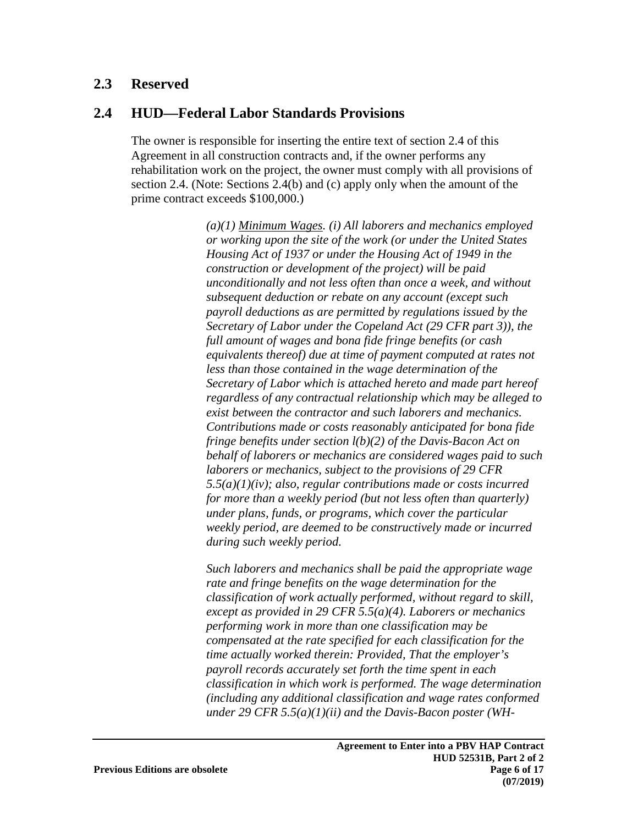### **2.3 Reserved**

### **2.4 HUD—Federal Labor Standards Provisions**

The owner is responsible for inserting the entire text of section 2.4 of this Agreement in all construction contracts and, if the owner performs any rehabilitation work on the project, the owner must comply with all provisions of section 2.4. (Note: Sections 2.4(b) and (c) apply only when the amount of the prime contract exceeds \$100,000.)

> *(a)(1) Minimum Wages. (i) All laborers and mechanics employed or working upon the site of the work (or under the United States Housing Act of 1937 or under the Housing Act of 1949 in the construction or development of the project) will be paid unconditionally and not less often than once a week, and without subsequent deduction or rebate on any account (except such payroll deductions as are permitted by regulations issued by the Secretary of Labor under the Copeland Act (29 CFR part 3)), the full amount of wages and bona fide fringe benefits (or cash equivalents thereof) due at time of payment computed at rates not less than those contained in the wage determination of the Secretary of Labor which is attached hereto and made part hereof regardless of any contractual relationship which may be alleged to exist between the contractor and such laborers and mechanics. Contributions made or costs reasonably anticipated for bona fide fringe benefits under section l(b)(2) of the Davis-Bacon Act on behalf of laborers or mechanics are considered wages paid to such laborers or mechanics, subject to the provisions of 29 CFR 5.5(a)(1)(iv); also, regular contributions made or costs incurred for more than a weekly period (but not less often than quarterly) under plans, funds, or programs, which cover the particular weekly period, are deemed to be constructively made or incurred during such weekly period.*

> *Such laborers and mechanics shall be paid the appropriate wage rate and fringe benefits on the wage determination for the classification of work actually performed, without regard to skill, except as provided in 29 CFR 5.5(a)(4). Laborers or mechanics performing work in more than one classification may be compensated at the rate specified for each classification for the time actually worked therein: Provided, That the employer's payroll records accurately set forth the time spent in each classification in which work is performed. The wage determination (including any additional classification and wage rates conformed under 29 CFR 5.5(a)(1)(ii) and the Davis-Bacon poster (WH-*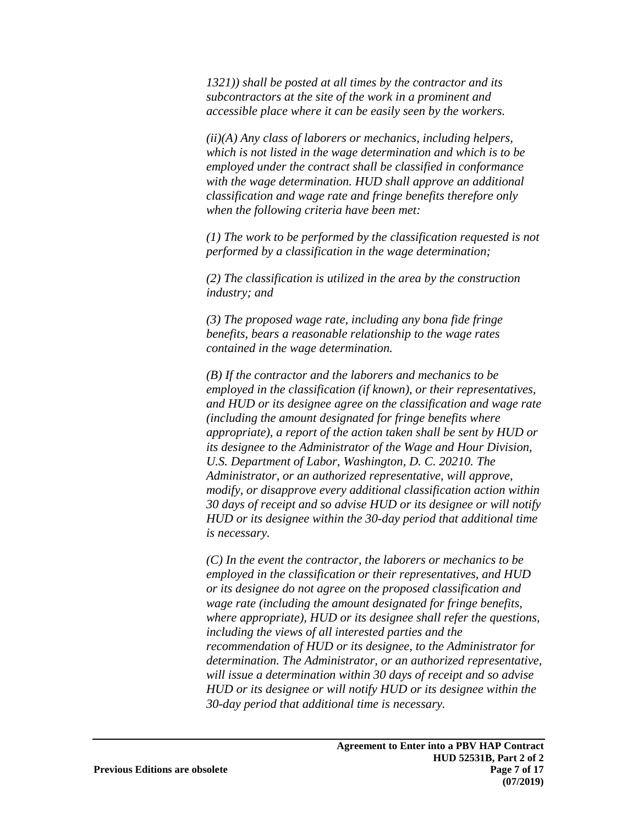*1321)) shall be posted at all times by the contractor and its subcontractors at the site of the work in a prominent and accessible place where it can be easily seen by the workers.* 

*(ii)(A) Any class of laborers or mechanics, including helpers, which is not listed in the wage determination and which is to be employed under the contract shall be classified in conformance with the wage determination. HUD shall approve an additional classification and wage rate and fringe benefits therefore only when the following criteria have been met:* 

*(1) The work to be performed by the classification requested is not performed by a classification in the wage determination;* 

*(2) The classification is utilized in the area by the construction industry; and* 

*(3) The proposed wage rate, including any bona fide fringe benefits, bears a reasonable relationship to the wage rates contained in the wage determination.* 

*(B) If the contractor and the laborers and mechanics to be employed in the classification (if known), or their representatives, and HUD or its designee agree on the classification and wage rate (including the amount designated for fringe benefits where appropriate), a report of the action taken shall be sent by HUD or its designee to the Administrator of the Wage and Hour Division, U.S. Department of Labor, Washington, D. C. 20210. The Administrator, or an authorized representative, will approve, modify, or disapprove every additional classification action within 30 days of receipt and so advise HUD or its designee or will notify HUD or its designee within the 30-day period that additional time is necessary.* 

*(C) In the event the contractor, the laborers or mechanics to be employed in the classification or their representatives, and HUD or its designee do not agree on the proposed classification and wage rate (including the amount designated for fringe benefits, where appropriate), HUD or its designee shall refer the questions, including the views of all interested parties and the recommendation of HUD or its designee, to the Administrator for determination. The Administrator, or an authorized representative, will issue a determination within 30 days of receipt and so advise HUD or its designee or will notify HUD or its designee within the 30-day period that additional time is necessary.*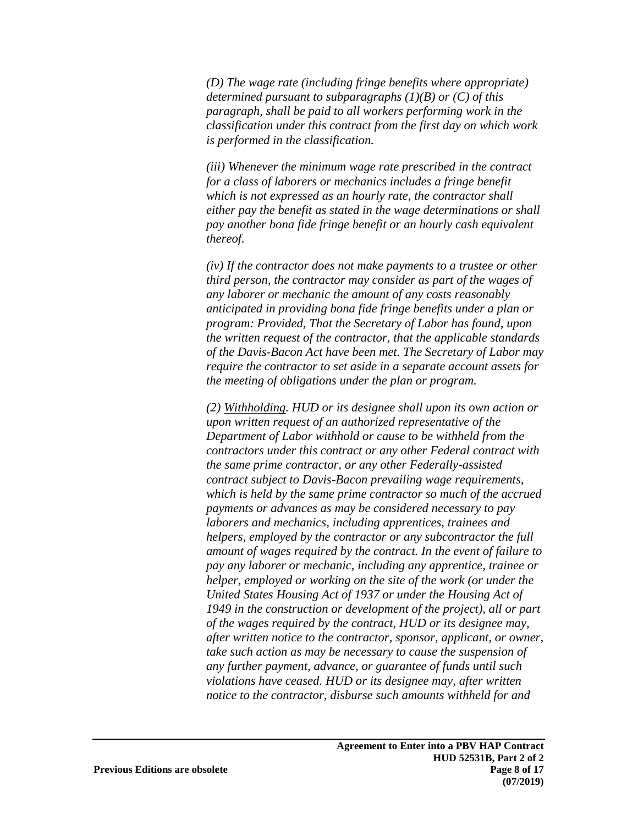*(D) The wage rate (including fringe benefits where appropriate) determined pursuant to subparagraphs (1)(B) or (C) of this paragraph, shall be paid to all workers performing work in the classification under this contract from the first day on which work is performed in the classification.* 

*(iii) Whenever the minimum wage rate prescribed in the contract for a class of laborers or mechanics includes a fringe benefit which is not expressed as an hourly rate, the contractor shall either pay the benefit as stated in the wage determinations or shall pay another bona fide fringe benefit or an hourly cash equivalent thereof.* 

*(iv) If the contractor does not make payments to a trustee or other third person, the contractor may consider as part of the wages of any laborer or mechanic the amount of any costs reasonably anticipated in providing bona fide fringe benefits under a plan or program: Provided, That the Secretary of Labor has found, upon the written request of the contractor, that the applicable standards of the Davis-Bacon Act have been met. The Secretary of Labor may require the contractor to set aside in a separate account assets for the meeting of obligations under the plan or program.* 

*(2) Withholding. HUD or its designee shall upon its own action or upon written request of an authorized representative of the Department of Labor withhold or cause to be withheld from the contractors under this contract or any other Federal contract with the same prime contractor, or any other Federally-assisted contract subject to Davis-Bacon prevailing wage requirements, which is held by the same prime contractor so much of the accrued payments or advances as may be considered necessary to pay laborers and mechanics, including apprentices, trainees and helpers, employed by the contractor or any subcontractor the full amount of wages required by the contract. In the event of failure to pay any laborer or mechanic, including any apprentice, trainee or helper, employed or working on the site of the work (or under the United States Housing Act of 1937 or under the Housing Act of 1949 in the construction or development of the project), all or part of the wages required by the contract, HUD or its designee may, after written notice to the contractor, sponsor, applicant, or owner, take such action as may be necessary to cause the suspension of any further payment, advance, or guarantee of funds until such violations have ceased. HUD or its designee may, after written notice to the contractor, disburse such amounts withheld for and*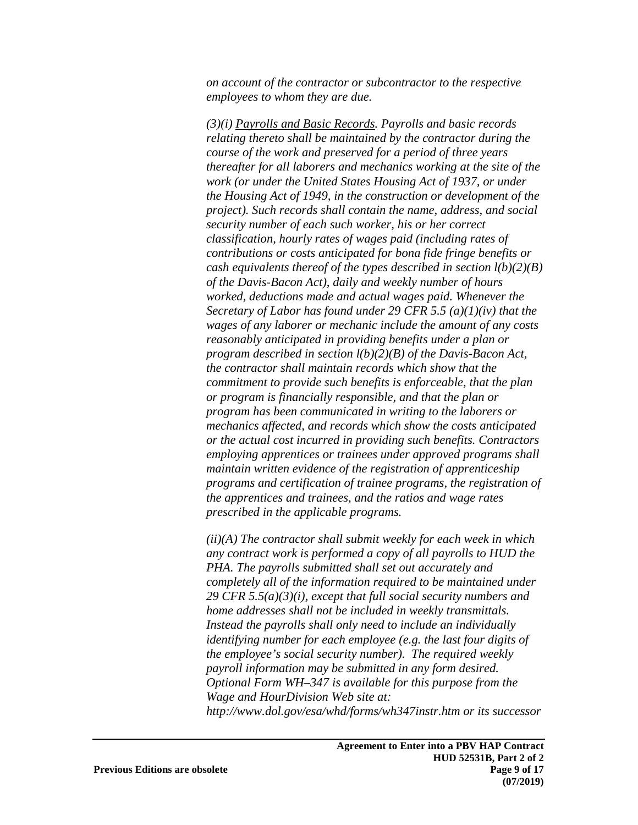*on account of the contractor or subcontractor to the respective employees to whom they are due.* 

*(3)(i) Payrolls and Basic Records. Payrolls and basic records relating thereto shall be maintained by the contractor during the course of the work and preserved for a period of three years thereafter for all laborers and mechanics working at the site of the work (or under the United States Housing Act of 1937, or under the Housing Act of 1949, in the construction or development of the project). Such records shall contain the name, address, and social security number of each such worker, his or her correct classification, hourly rates of wages paid (including rates of contributions or costs anticipated for bona fide fringe benefits or cash equivalents thereof of the types described in section l(b)(2)(B) of the Davis-Bacon Act), daily and weekly number of hours worked, deductions made and actual wages paid. Whenever the Secretary of Labor has found under 29 CFR 5.5 (a)(1)(iv) that the wages of any laborer or mechanic include the amount of any costs reasonably anticipated in providing benefits under a plan or program described in section l(b)(2)(B) of the Davis-Bacon Act, the contractor shall maintain records which show that the commitment to provide such benefits is enforceable, that the plan or program is financially responsible, and that the plan or program has been communicated in writing to the laborers or mechanics affected, and records which show the costs anticipated or the actual cost incurred in providing such benefits. Contractors employing apprentices or trainees under approved programs shall maintain written evidence of the registration of apprenticeship programs and certification of trainee programs, the registration of the apprentices and trainees, and the ratios and wage rates prescribed in the applicable programs.* 

*(ii)(A) The contractor shall submit weekly for each week in which any contract work is performed a copy of all payrolls to HUD the PHA. The payrolls submitted shall set out accurately and completely all of the information required to be maintained under 29 CFR 5.5(a)(3)(i), except that full social security numbers and home addresses shall not be included in weekly transmittals. Instead the payrolls shall only need to include an individually identifying number for each employee (e.g. the last four digits of the employee's social security number). The required weekly payroll information may be submitted in any form desired. Optional Form WH–347 is available for this purpose from the Wage and HourDivision Web site at: http://www.dol.gov/esa/whd/forms/wh347instr.htm or its successor*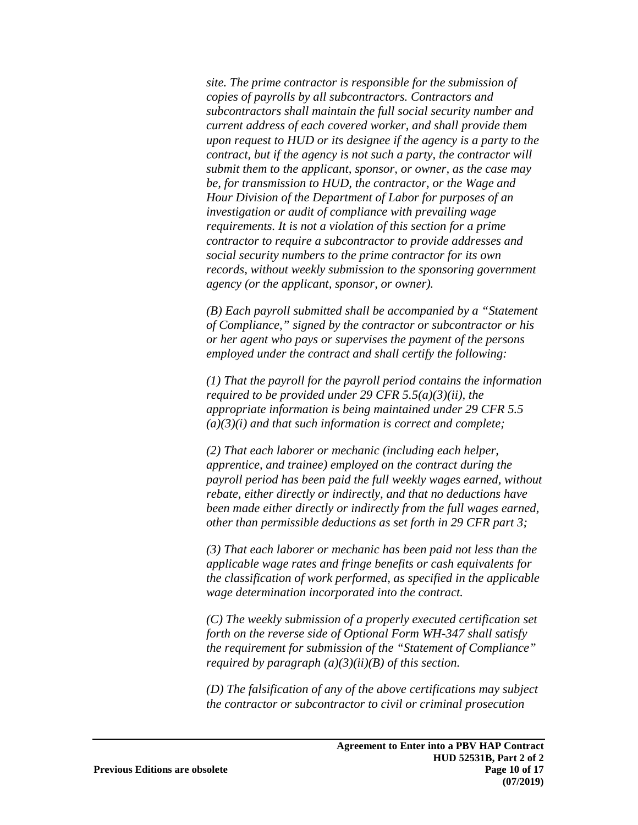*site. The prime contractor is responsible for the submission of copies of payrolls by all subcontractors. Contractors and subcontractors shall maintain the full social security number and current address of each covered worker, and shall provide them upon request to HUD or its designee if the agency is a party to the contract, but if the agency is not such a party, the contractor will submit them to the applicant, sponsor, or owner, as the case may be, for transmission to HUD, the contractor, or the Wage and Hour Division of the Department of Labor for purposes of an investigation or audit of compliance with prevailing wage requirements. It is not a violation of this section for a prime contractor to require a subcontractor to provide addresses and social security numbers to the prime contractor for its own records, without weekly submission to the sponsoring government agency (or the applicant, sponsor, or owner).* 

*(B) Each payroll submitted shall be accompanied by a "Statement of Compliance," signed by the contractor or subcontractor or his or her agent who pays or supervises the payment of the persons employed under the contract and shall certify the following:* 

*(1) That the payroll for the payroll period contains the information required to be provided under 29 CFR 5.5(a)(3)(ii), the appropriate information is being maintained under 29 CFR 5.5 (a)(3)(i) and that such information is correct and complete;* 

*(2) That each laborer or mechanic (including each helper, apprentice, and trainee) employed on the contract during the payroll period has been paid the full weekly wages earned, without rebate, either directly or indirectly, and that no deductions have been made either directly or indirectly from the full wages earned, other than permissible deductions as set forth in 29 CFR part 3;* 

*(3) That each laborer or mechanic has been paid not less than the applicable wage rates and fringe benefits or cash equivalents for the classification of work performed, as specified in the applicable wage determination incorporated into the contract.* 

*(C) The weekly submission of a properly executed certification set forth on the reverse side of Optional Form WH-347 shall satisfy the requirement for submission of the "Statement of Compliance" required by paragraph (a)(3)(ii)(B) of this section.* 

*(D) The falsification of any of the above certifications may subject the contractor or subcontractor to civil or criminal prosecution*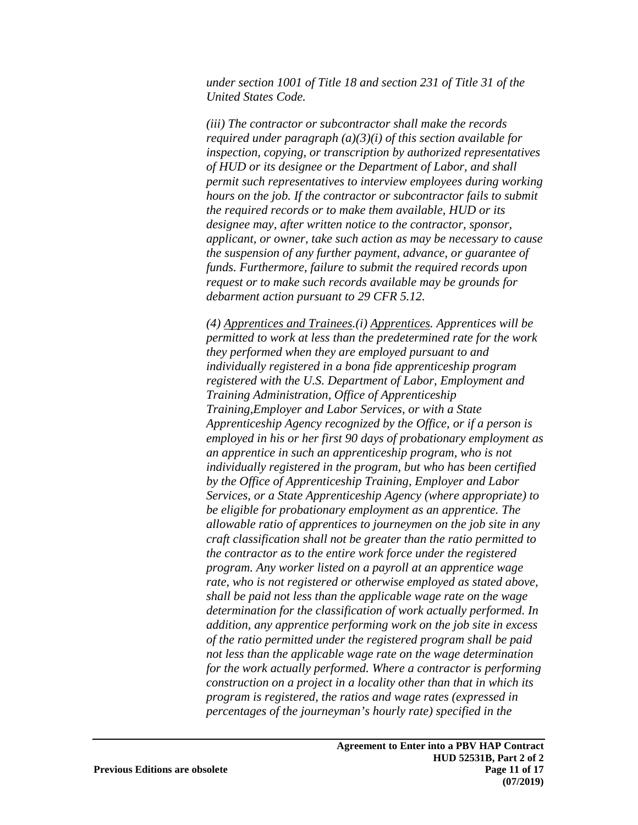*under section 1001 of Title 18 and section 231 of Title 31 of the United States Code.* 

*(iii) The contractor or subcontractor shall make the records required under paragraph (a)(3)(i) of this section available for inspection, copying, or transcription by authorized representatives of HUD or its designee or the Department of Labor, and shall permit such representatives to interview employees during working hours on the job. If the contractor or subcontractor fails to submit the required records or to make them available, HUD or its designee may, after written notice to the contractor, sponsor, applicant, or owner, take such action as may be necessary to cause the suspension of any further payment, advance, or guarantee of funds. Furthermore, failure to submit the required records upon request or to make such records available may be grounds for debarment action pursuant to 29 CFR 5.12.* 

*(4) Apprentices and Trainees.(i) Apprentices. Apprentices will be permitted to work at less than the predetermined rate for the work they performed when they are employed pursuant to and individually registered in a bona fide apprenticeship program registered with the U.S. Department of Labor, Employment and Training Administration, Office of Apprenticeship Training,Employer and Labor Services, or with a State Apprenticeship Agency recognized by the Office, or if a person is employed in his or her first 90 days of probationary employment as an apprentice in such an apprenticeship program, who is not individually registered in the program, but who has been certified by the Office of Apprenticeship Training, Employer and Labor Services, or a State Apprenticeship Agency (where appropriate) to be eligible for probationary employment as an apprentice. The allowable ratio of apprentices to journeymen on the job site in any craft classification shall not be greater than the ratio permitted to the contractor as to the entire work force under the registered program. Any worker listed on a payroll at an apprentice wage rate, who is not registered or otherwise employed as stated above, shall be paid not less than the applicable wage rate on the wage determination for the classification of work actually performed. In addition, any apprentice performing work on the job site in excess of the ratio permitted under the registered program shall be paid not less than the applicable wage rate on the wage determination for the work actually performed. Where a contractor is performing construction on a project in a locality other than that in which its program is registered, the ratios and wage rates (expressed in percentages of the journeyman's hourly rate) specified in the*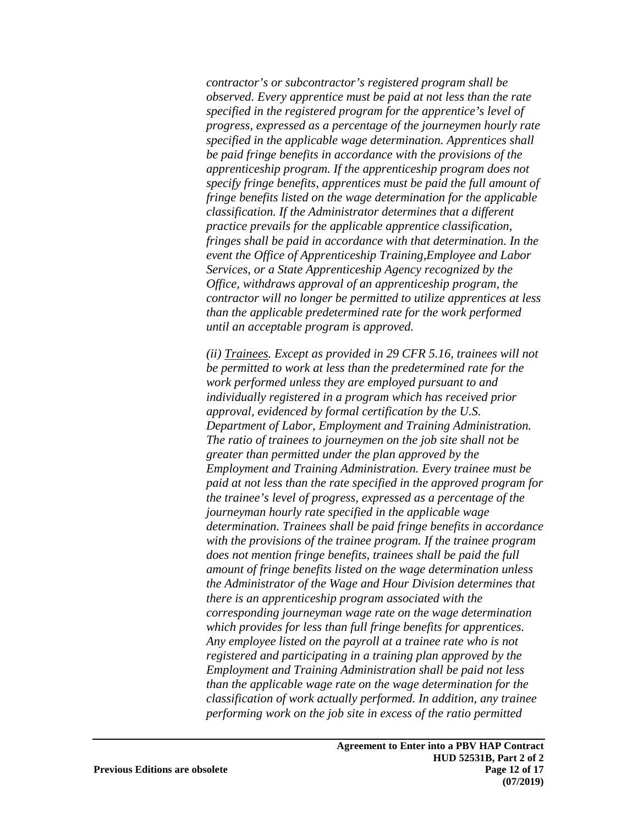*contractor's or subcontractor's registered program shall be observed. Every apprentice must be paid at not less than the rate specified in the registered program for the apprentice's level of progress, expressed as a percentage of the journeymen hourly rate specified in the applicable wage determination. Apprentices shall be paid fringe benefits in accordance with the provisions of the apprenticeship program. If the apprenticeship program does not specify fringe benefits, apprentices must be paid the full amount of fringe benefits listed on the wage determination for the applicable classification. If the Administrator determines that a different practice prevails for the applicable apprentice classification, fringes shall be paid in accordance with that determination. In the event the Office of Apprenticeship Training,Employee and Labor Services, or a State Apprenticeship Agency recognized by the Office, withdraws approval of an apprenticeship program, the contractor will no longer be permitted to utilize apprentices at less than the applicable predetermined rate for the work performed until an acceptable program is approved.* 

*(ii) Trainees. Except as provided in 29 CFR 5.16, trainees will not be permitted to work at less than the predetermined rate for the work performed unless they are employed pursuant to and individually registered in a program which has received prior approval, evidenced by formal certification by the U.S. Department of Labor, Employment and Training Administration. The ratio of trainees to journeymen on the job site shall not be greater than permitted under the plan approved by the Employment and Training Administration. Every trainee must be paid at not less than the rate specified in the approved program for the trainee's level of progress, expressed as a percentage of the journeyman hourly rate specified in the applicable wage determination. Trainees shall be paid fringe benefits in accordance with the provisions of the trainee program. If the trainee program does not mention fringe benefits, trainees shall be paid the full amount of fringe benefits listed on the wage determination unless the Administrator of the Wage and Hour Division determines that there is an apprenticeship program associated with the corresponding journeyman wage rate on the wage determination which provides for less than full fringe benefits for apprentices. Any employee listed on the payroll at a trainee rate who is not registered and participating in a training plan approved by the Employment and Training Administration shall be paid not less than the applicable wage rate on the wage determination for the classification of work actually performed. In addition, any trainee performing work on the job site in excess of the ratio permitted*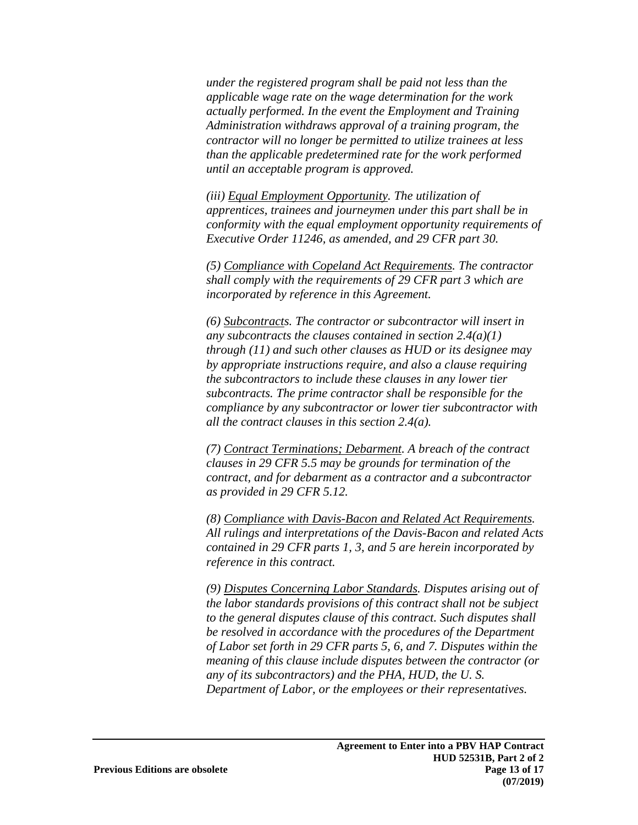*under the registered program shall be paid not less than the applicable wage rate on the wage determination for the work actually performed. In the event the Employment and Training Administration withdraws approval of a training program, the contractor will no longer be permitted to utilize trainees at less than the applicable predetermined rate for the work performed until an acceptable program is approved.* 

*(iii) Equal Employment Opportunity. The utilization of apprentices, trainees and journeymen under this part shall be in conformity with the equal employment opportunity requirements of Executive Order 11246, as amended, and 29 CFR part 30.* 

*(5) Compliance with Copeland Act Requirements. The contractor shall comply with the requirements of 29 CFR part 3 which are incorporated by reference in this Agreement.* 

*(6) Subcontracts. The contractor or subcontractor will insert in any subcontracts the clauses contained in section 2.4(a)(1) through (11) and such other clauses as HUD or its designee may by appropriate instructions require, and also a clause requiring the subcontractors to include these clauses in any lower tier subcontracts. The prime contractor shall be responsible for the compliance by any subcontractor or lower tier subcontractor with all the contract clauses in this section 2.4(a).* 

*(7) Contract Terminations; Debarment. A breach of the contract clauses in 29 CFR 5.5 may be grounds for termination of the contract, and for debarment as a contractor and a subcontractor as provided in 29 CFR 5.12.* 

*(8) Compliance with Davis-Bacon and Related Act Requirements. All rulings and interpretations of the Davis-Bacon and related Acts contained in 29 CFR parts 1, 3, and 5 are herein incorporated by reference in this contract.* 

*(9) Disputes Concerning Labor Standards. Disputes arising out of the labor standards provisions of this contract shall not be subject to the general disputes clause of this contract. Such disputes shall be resolved in accordance with the procedures of the Department of Labor set forth in 29 CFR parts 5, 6, and 7. Disputes within the meaning of this clause include disputes between the contractor (or any of its subcontractors) and the PHA, HUD, the U. S. Department of Labor, or the employees or their representatives.*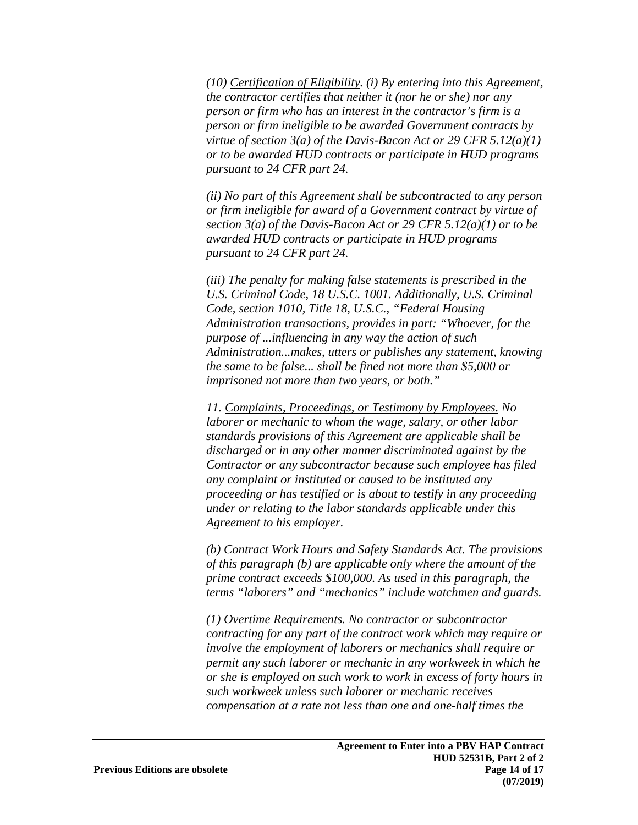*(10) Certification of Eligibility. (i) By entering into this Agreement, the contractor certifies that neither it (nor he or she) nor any person or firm who has an interest in the contractor's firm is a person or firm ineligible to be awarded Government contracts by virtue of section 3(a) of the Davis-Bacon Act or 29 CFR 5.12(a)(1) or to be awarded HUD contracts or participate in HUD programs pursuant to 24 CFR part 24.* 

*(ii) No part of this Agreement shall be subcontracted to any person or firm ineligible for award of a Government contract by virtue of section 3(a) of the Davis-Bacon Act or 29 CFR 5.12(a)(1) or to be awarded HUD contracts or participate in HUD programs pursuant to 24 CFR part 24.* 

*(iii) The penalty for making false statements is prescribed in the U.S. Criminal Code, 18 U.S.C. 1001. Additionally, U.S. Criminal Code, section 1010, Title 18, U.S.C., "Federal Housing Administration transactions, provides in part: "Whoever, for the purpose of ...influencing in any way the action of such Administration...makes, utters or publishes any statement, knowing the same to be false... shall be fined not more than \$5,000 or imprisoned not more than two years, or both."* 

*11. Complaints, Proceedings, or Testimony by Employees. No laborer or mechanic to whom the wage, salary, or other labor standards provisions of this Agreement are applicable shall be discharged or in any other manner discriminated against by the Contractor or any subcontractor because such employee has filed any complaint or instituted or caused to be instituted any proceeding or has testified or is about to testify in any proceeding under or relating to the labor standards applicable under this Agreement to his employer.* 

*(b) Contract Work Hours and Safety Standards Act. The provisions of this paragraph (b) are applicable only where the amount of the prime contract exceeds \$100,000. As used in this paragraph, the terms "laborers" and "mechanics" include watchmen and guards.* 

*(1) Overtime Requirements. No contractor or subcontractor contracting for any part of the contract work which may require or involve the employment of laborers or mechanics shall require or permit any such laborer or mechanic in any workweek in which he or she is employed on such work to work in excess of forty hours in such workweek unless such laborer or mechanic receives compensation at a rate not less than one and one-half times the*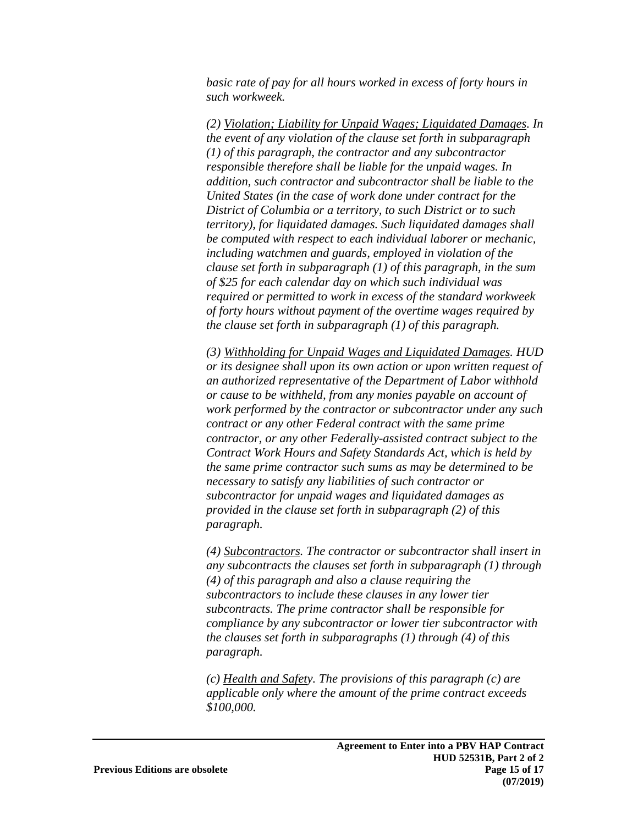*basic rate of pay for all hours worked in excess of forty hours in such workweek.* 

*(2) Violation; Liability for Unpaid Wages; Liquidated Damages. In the event of any violation of the clause set forth in subparagraph (1) of this paragraph, the contractor and any subcontractor responsible therefore shall be liable for the unpaid wages. In addition, such contractor and subcontractor shall be liable to the United States (in the case of work done under contract for the District of Columbia or a territory, to such District or to such territory), for liquidated damages. Such liquidated damages shall be computed with respect to each individual laborer or mechanic, including watchmen and guards, employed in violation of the clause set forth in subparagraph (1) of this paragraph, in the sum of \$25 for each calendar day on which such individual was required or permitted to work in excess of the standard workweek of forty hours without payment of the overtime wages required by the clause set forth in subparagraph (1) of this paragraph.* 

*(3) Withholding for Unpaid Wages and Liquidated Damages. HUD or its designee shall upon its own action or upon written request of an authorized representative of the Department of Labor withhold or cause to be withheld, from any monies payable on account of work performed by the contractor or subcontractor under any such contract or any other Federal contract with the same prime contractor, or any other Federally-assisted contract subject to the Contract Work Hours and Safety Standards Act, which is held by the same prime contractor such sums as may be determined to be necessary to satisfy any liabilities of such contractor or subcontractor for unpaid wages and liquidated damages as provided in the clause set forth in subparagraph (2) of this paragraph.* 

*(4) Subcontractors. The contractor or subcontractor shall insert in any subcontracts the clauses set forth in subparagraph (1) through (4) of this paragraph and also a clause requiring the subcontractors to include these clauses in any lower tier subcontracts. The prime contractor shall be responsible for compliance by any subcontractor or lower tier subcontractor with the clauses set forth in subparagraphs (1) through (4) of this paragraph.* 

*(c) Health and Safety. The provisions of this paragraph (c) are applicable only where the amount of the prime contract exceeds \$100,000.*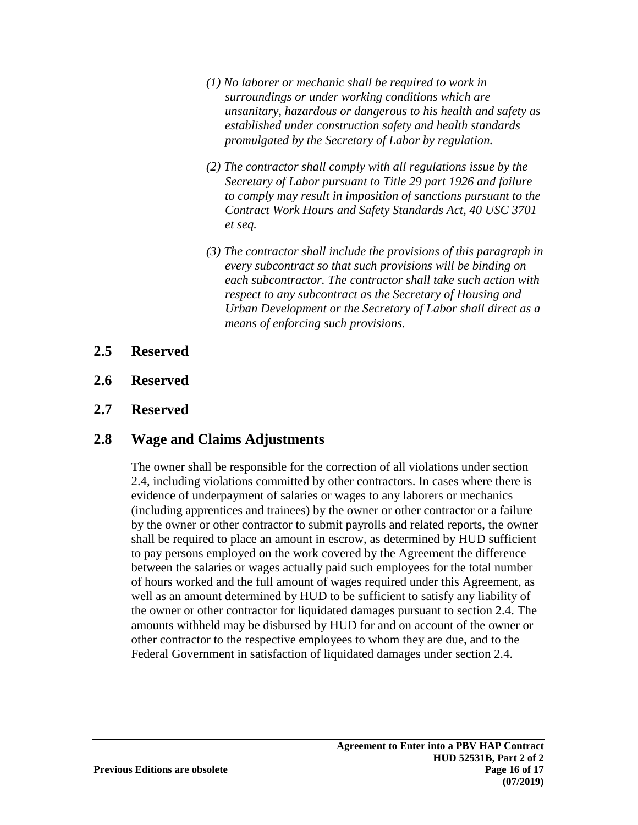- *(1) No laborer or mechanic shall be required to work in surroundings or under working conditions which are unsanitary, hazardous or dangerous to his health and safety as established under construction safety and health standards promulgated by the Secretary of Labor by regulation.*
- *(2) The contractor shall comply with all regulations issue by the Secretary of Labor pursuant to Title 29 part 1926 and failure to comply may result in imposition of sanctions pursuant to the Contract Work Hours and Safety Standards Act, 40 USC 3701 et seq.*
- *(3) The contractor shall include the provisions of this paragraph in every subcontract so that such provisions will be binding on each subcontractor. The contractor shall take such action with respect to any subcontract as the Secretary of Housing and Urban Development or the Secretary of Labor shall direct as a means of enforcing such provisions.*
- **2.5 Reserved**
- **2.6 Reserved**
- **2.7 Reserved**

## **2.8 Wage and Claims Adjustments**

The owner shall be responsible for the correction of all violations under section 2.4, including violations committed by other contractors. In cases where there is evidence of underpayment of salaries or wages to any laborers or mechanics (including apprentices and trainees) by the owner or other contractor or a failure by the owner or other contractor to submit payrolls and related reports, the owner shall be required to place an amount in escrow, as determined by HUD sufficient to pay persons employed on the work covered by the Agreement the difference between the salaries or wages actually paid such employees for the total number of hours worked and the full amount of wages required under this Agreement, as well as an amount determined by HUD to be sufficient to satisfy any liability of the owner or other contractor for liquidated damages pursuant to section 2.4. The amounts withheld may be disbursed by HUD for and on account of the owner or other contractor to the respective employees to whom they are due, and to the Federal Government in satisfaction of liquidated damages under section 2.4.